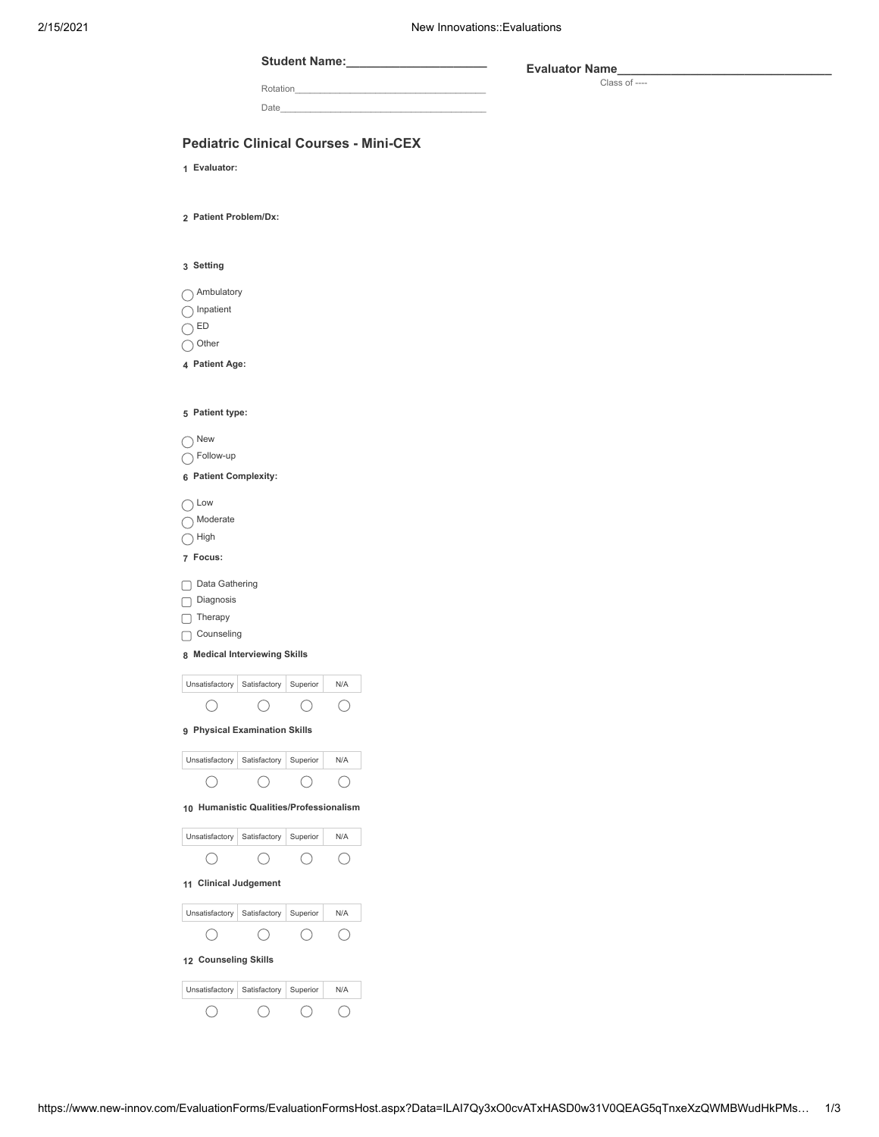### **Student Name:\_\_\_\_\_\_\_\_\_\_\_\_\_\_\_\_\_\_\_\_\_**

Rotation\_

**Evaluator Name\_\_\_\_\_\_\_\_\_\_\_\_\_\_\_\_\_\_\_\_\_\_\_\_\_\_\_\_\_\_\_\_** Class of ----

Date\_\_\_\_\_\_\_\_\_\_\_\_\_\_\_\_\_\_\_\_\_\_\_\_\_\_\_\_\_\_\_\_\_\_\_\_\_\_\_\_\_

## **Pediatric Clinical Courses - Mini-CEX**

**1 Evaluator:**

**2 Patient Problem/Dx:**

**3 Setting**

◯ Ambulatory

 $\bigcap$  Inpatient

 $\bigcirc$  ED

 $\bigcirc$  Other

**4 Patient Age:**

| 5 Patient type:                          |              |          |     |  |  |
|------------------------------------------|--------------|----------|-----|--|--|
| $\setminus$ New                          |              |          |     |  |  |
| $\gamma$ Follow-up                       |              |          |     |  |  |
| 6 Patient Complexity:                    |              |          |     |  |  |
| $\rangle$ Low                            |              |          |     |  |  |
| ) Moderate                               |              |          |     |  |  |
| High                                     |              |          |     |  |  |
| 7 Focus:                                 |              |          |     |  |  |
| Data Gathering                           |              |          |     |  |  |
| □ Diagnosis                              |              |          |     |  |  |
| Therapy                                  |              |          |     |  |  |
| Counseling                               |              |          |     |  |  |
| 8 Medical Interviewing Skills            |              |          |     |  |  |
| Unsatisfactory                           | Satisfactory | Superior | N/A |  |  |
|                                          |              |          |     |  |  |
| 9 Physical Examination Skills            |              |          |     |  |  |
| Unsatisfactory   Satisfactory   Superior |              |          | N/A |  |  |
|                                          |              |          |     |  |  |
| 10 Humanistic Qualities/Professionalism  |              |          |     |  |  |
| Unsatisfactory                           | Satisfactory | Superior | N/A |  |  |
|                                          |              |          |     |  |  |
| 11 Clinical Judgement                    |              |          |     |  |  |
| Unsatisfactory                           | Satisfactory | Superior | N/A |  |  |
| $($ )                                    | (            | (        | (   |  |  |

| 12 Counseling Skills |              |          |     |  |  |
|----------------------|--------------|----------|-----|--|--|
| Unsatisfactory       | Satisfactory | Superior | N/A |  |  |
|                      |              |          |     |  |  |